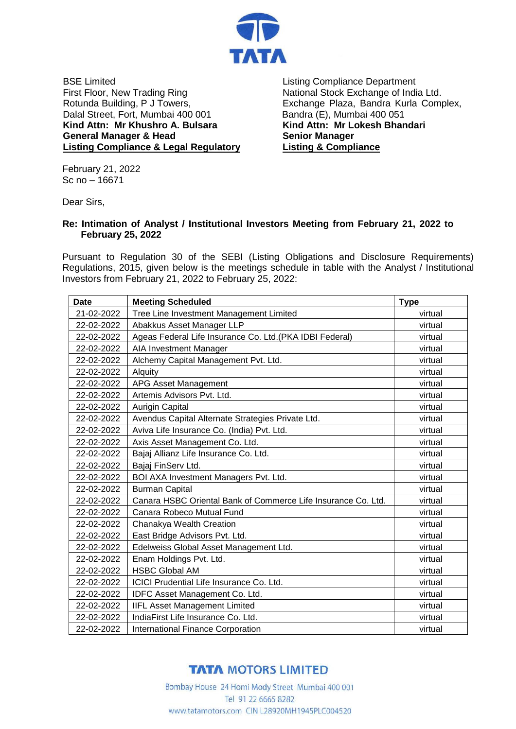

BSE Limited First Floor, New Trading Ring Rotunda Building, P J Towers, Dalal Street, Fort, Mumbai 400 001 **Kind Attn: Mr Khushro A. Bulsara General Manager & Head Listing Compliance & Legal Regulatory**

Listing Compliance Department National Stock Exchange of India Ltd. Exchange Plaza, Bandra Kurla Complex, Bandra (E), Mumbai 400 051 **Kind Attn: Mr Lokesh Bhandari Senior Manager Listing & Compliance**

February 21, 2022 Sc no – 16671

Dear Sirs,

## **Re: Intimation of Analyst / Institutional Investors Meeting from February 21, 2022 to February 25, 2022**

Pursuant to Regulation 30 of the SEBI (Listing Obligations and Disclosure Requirements) Regulations, 2015, given below is the meetings schedule in table with the Analyst / Institutional Investors from February 21, 2022 to February 25, 2022:

| <b>Date</b> | <b>Meeting Scheduled</b>                                      | <b>Type</b> |
|-------------|---------------------------------------------------------------|-------------|
| 21-02-2022  | Tree Line Investment Management Limited                       | virtual     |
| 22-02-2022  | Abakkus Asset Manager LLP                                     | virtual     |
| 22-02-2022  | Ageas Federal Life Insurance Co. Ltd. (PKA IDBI Federal)      | virtual     |
| 22-02-2022  | <b>AIA Investment Manager</b>                                 | virtual     |
| 22-02-2022  | Alchemy Capital Management Pvt. Ltd.                          | virtual     |
| 22-02-2022  | Alquity                                                       | virtual     |
| 22-02-2022  | APG Asset Management                                          | virtual     |
| 22-02-2022  | Artemis Advisors Pyt. Ltd.                                    | virtual     |
| 22-02-2022  | <b>Aurigin Capital</b>                                        | virtual     |
| 22-02-2022  | Avendus Capital Alternate Strategies Private Ltd.             | virtual     |
| 22-02-2022  | Aviva Life Insurance Co. (India) Pvt. Ltd.                    | virtual     |
| 22-02-2022  | Axis Asset Management Co. Ltd.                                | virtual     |
| 22-02-2022  | Bajaj Allianz Life Insurance Co. Ltd.                         | virtual     |
| 22-02-2022  | Bajaj FinServ Ltd.                                            | virtual     |
| 22-02-2022  | BOI AXA Investment Managers Pvt. Ltd.                         | virtual     |
| 22-02-2022  | <b>Burman Capital</b>                                         | virtual     |
| 22-02-2022  | Canara HSBC Oriental Bank of Commerce Life Insurance Co. Ltd. | virtual     |
| 22-02-2022  | Canara Robeco Mutual Fund                                     | virtual     |
| 22-02-2022  | Chanakya Wealth Creation                                      | virtual     |
| 22-02-2022  | East Bridge Advisors Pvt. Ltd.                                | virtual     |
| 22-02-2022  | Edelweiss Global Asset Management Ltd.                        | virtual     |
| 22-02-2022  | Enam Holdings Pvt. Ltd.                                       | virtual     |
| 22-02-2022  | <b>HSBC Global AM</b>                                         | virtual     |
| 22-02-2022  | ICICI Prudential Life Insurance Co. Ltd.                      | virtual     |
| 22-02-2022  | IDFC Asset Management Co. Ltd.                                | virtual     |
| 22-02-2022  | <b>IIFL Asset Management Limited</b>                          | virtual     |
| 22-02-2022  | IndiaFirst Life Insurance Co. Ltd.                            | virtual     |
| 22-02-2022  | <b>International Finance Corporation</b>                      | virtual     |

## **TATA MOTORS LIMITED**

Bombay House 24 Homi Mody Street Mumbai 400 001 Tel 91 22 6665 8282 www.tatamotors.com CIN L28920MH1945PLC004520